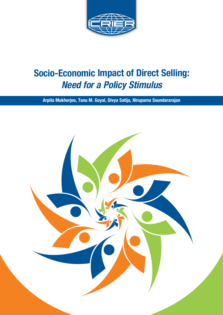

# **Socio-Economic Impact of Direct Selling:** *Need for a Policy Stimulus*

**Arpita Mukherjee, Tanu M. Goyal, Divya Satija, Nirupama Soundararajan** 

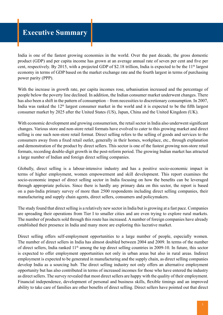## **Executive Summary**

India is one of the fastest growing economies in the world. Over the past decade, the gross domestic product (GDP) and per capita income has grown at an average annual rate of seven per cent and five per cent, respectively. By 2015, with a projected GDP of \$2.18 trillion, India is expected to be the 11<sup>th</sup> largest economy in terms of GDP based on the market exchange rate and the fourth largest in terms of purchasing power parity (PPP).

With the increase in growth rate, per capita incomes rose, urbanisation increased and the percentage of people below the poverty line declined. In addition, the Indian consumer market underwent changes. There has also been a shift in the pattern of consumption – from necessities to discretionary consumption. In 2007, India was ranked the  $12<sup>th</sup>$  largest consumer market in the world and it is expected to be the fifth largest consumer market by 2025 after the United States (US), Japan, China and the United Kingdom (UK).

With economic development and growing consumerism, the retail sector in India also underwent significant changes. Various store and non-store retail formats have evolved to cater to this growing market and direct selling is one such non-store retail format. Direct selling refers to the selling of goods and services to the consumers away from a fixed retail outlet, generally in their homes, workplace, etc., through explanation and demonstration of the product by direct sellers. This sector is one of the fastest growing non-store retail formats, recording double-digit growth in the post-reform period. The growing Indian market has attracted a large number of Indian and foreign direct selling companies.

Globally, direct selling is a labour-intensive industry and has a positive socio-economic impact in terms of higher employment, women empowerment and skill development. This report examines the socio-economic impact of direct selling sector in India focusing on how the benefits can be leveraged through appropriate policies. Since there is hardly any primary data on this sector, the report is based on a pan-India primary survey of more than 2500 respondents including direct selling companies, their manufacturing and supply chain agents, direct sellers, consumers and policymakers.

The study found that direct selling is a relatively new sector in India but is growing at a fast pace. Companies are spreading their operations from Tier I to smaller cities and are even trying to explore rural markets. The number of products sold through this route has increased. A number of foreign companies have already established their presence in India and many more are exploring this lucrative market.

Direct selling offers self-employment opportunities to a large number of people, especially women. The number of direct sellers in India has almost doubled between 2004 and 2009. In terms of the number of direct sellers. India ranked  $11<sup>th</sup>$  among the top direct selling countries in 2009-10. In future, this sector is expected to offer employment opportunities not only in urban areas but also in rural areas. Indirect employment is expected to be generated in manufacturing and the supply chain, as direct selling companies develop India as a sourcing hub. The direct selling industry not only offers an alternative employment opportunity but has also contributed in terms of increased incomes for those who have entered the industry as direct sellers. The survey revealed that most direct sellers are happy with the quality of their employment. Financial independence, development of personal and business skills, flexible timings and an improved ability to take care of families are other benefits of direct selling. Direct sellers have pointed out that direct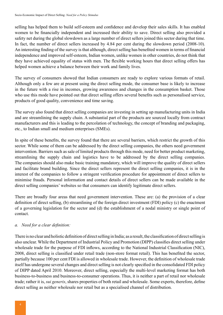selling has helped them to build self-esteem and confidence and develop their sales skills. It has enabled women to be financially independent and increased their ability to save. Direct selling also provided a safety net during the global slowdown as a large number of direct sellers joined this sector during that time. In fact, the number of direct sellers increased by 4.84 per cent during the slowdown period (2008-10). An interesting finding of the survey is that although, direct selling has benefited women in terms of financial independence and improved self-esteem, Indian women, unlike women in other countries, do not think that they have achieved equality of status with men. The flexible working hours that direct selling offers has helped women achieve a balance between their work and family lives.

The survey of consumers showed that Indian consumers are ready to explore various formats of retail. Although only a few are at present using the direct selling mode, the consumer base is likely to increase in the future with a rise in incomes, growing awareness and changes in the consumption basket. Those who use this mode have pointed out that direct selling offers several benefits such as personalised service, products of good quality, convenience and time saving.

The survey also found that direct selling companies are investing in setting up manufacturing units in India and are streamlining the supply chain. A substantial part of the products are sourced locally from contract manufacturers and this is leading to the percolation of technology, the concept of branding and packaging, etc., to Indian small and medium enterprises (SMEs).

In spite of these benefits, the survey found that there are several barriers, which restrict the growth of this sector. While some of them can be addressed by the direct selling companies, the others need government intervention. Barriers such as sale of limited products through this mode, need for better product marketing, streamlining the supply chain and logistics have to be addressed by the direct selling companies. The companies should also make basic training mandatory, which will improve the quality of direct sellers and facilitate brand building. Since the direct sellers represent the direct selling companies, it is in the interest of the companies to follow a stringent verification procedure for appointment of direct sellers to minimise frauds. Personal information and contact details of direct sellers can be made available in the direct selling companies' websites so that consumers can identify legitimate direct sellers.

There are broadly four areas that need government intervention. These are: (a) the provision of a clear definition of direct selling, (b) streamlining of the foreign direct investment (FDI) policy (c) the enactment of a governing legislation for the sector and (d) the establishment of a nodal ministry or single point of contact.

### *a. Need for a clear definition:*

There is no clear and holistic definition of direct selling in India; as a result, the classification of direct selling is also unclear. While the Department of Industrial Policy and Promotion (DIPP) classifies direct selling under wholesale trade for the purpose of FDI inflows, according to the National Industrial Classification (NIC), 2008, direct selling is classified under retail trade (non-store format retail). This has benefited the sector, partially because 100 per cent FDI is allowed in wholesale trade. However, the definition of wholesale trade itself has undergone several changes and direct selling is not clearly specified in the consolidated FDI policy of DIPP dated April 2010. Moreover, direct selling, especially the multi-level marketing format has both business-to-business and business-to-consumer operations. Thus, it is neither a part of retail nor wholesale trade; rather it is, *sui generis*, shares properties of both retail and wholesale. Some experts, therefore, define direct selling as neither wholesale nor retail but as a specialised channel of distribution.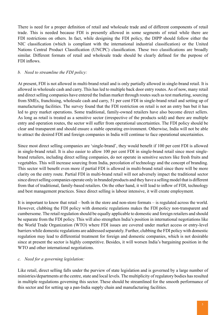There is need for a proper definition of retail and wholesale trade and of different components of retail trade. This is needed because FDI is presently allowed in some segments of retail while there are FDI restrictions on others. In fact, while designing the FDI policy, the DIPP should follow either the NIC classification (which is compliant with the international industrial classification) or the United Nations Central Product Classification (UNCPC) classification. These two classifications are broadly similar. Different formats of retail and wholesale trade should be clearly defined for the purpose of FDI inflows.

#### *b. Need to streamline the FDI policy:*

At present, FDI is not allowed in multi-brand retail and is only partially allowed in single-brand retail. It is allowed in wholesale cash and carry. This has led to multiple back door entry routes. As of now, many retail and direct selling companies have entered the Indian market through routes such as test marketing, sourcing from SMEs, franchising, wholesale cash and carry, 51 per cent FDI in single-brand retail and setting up of manufacturing facilities. The survey found that the FDI restriction on retail is not an entry ban but it has led to grey market operations. Some traditional, family-owned retailers have also become direct sellers. As long as retail is treated as a sensitive sector (irrespective of the products sold) and there are multiple entry and operation routes, the sector will suffer from operational uncertainties. The FDI policy should be clear and transparent and should ensure a stable operating environment. Otherwise, India will not be able to attract the desired FDI and foreign companies in India will continue to face operational uncertainties.

Since most direct selling companies are 'single-brand', they would benefit if 100 per cent FDI is allowed in single-brand retail. It is also easier to allow 100 per cent FDI in single-brand retail since most singlebrand retailers, including direct selling companies, do not operate in sensitive sectors like fresh fruits and vegetables. This will increase sourcing from India, percolation of technology and the concept of branding. This sector will benefit even more if partial FDI is allowed in multi-brand retail since there will be more clarity on the entry route. Partial FDI in multi-brand retail will not adversely impact the traditional sector since direct selling companies operate only in branded products and they have a selling model that is different from that of traditional, family-based retailers. On the other hand, it will lead to inflow of FDI, technology and best management practices. Since direct selling is labour intensive, it will create employment.

It is important to know that retail – both in the store and non-store formats – is regulated across the world. However, clubbing the FDI policy with domestic regulations makes the FDI policy non-transparent and cumbersome. The retail regulation should be equally applicable to domestic and foreign retailers and should be separate from the FDI policy. This will also strengthen India's position in international negotiations like the World Trade Organization (WTO) where FDI issues are covered under market access or entry-level barriers while domestic regulations are addressed separately. Further, clubbing the FDI policy with domestic regulation may lead to differential treatment for foreign and domestic companies, which is not desirable since at present the sector is highly competitive. Besides, it will worsen India's bargaining position in the WTO and other international negotiations.

#### *c. Need for a governing legislation:*

Like retail, direct selling falls under the purview of state legislation and is governed by a large number of ministries/departments at the centre, state and local levels. The multiplicity of regulatory bodies has resulted in multiple regulations governing this sector. These should be streamlined for the smooth performance of this sector and for setting up a pan-India supply chain and manufacturing facilities.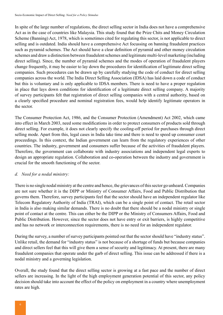In spite of the large number of regulations, the direct selling sector in India does not have a comprehensive Act as in the case of countries like Malaysia. This study found that the Prize Chits and Money Circulation Scheme (Banning) Act, 1978, which is sometimes cited for regulating this sector, is not applicable to direct selling and is outdated. India should have a comprehensive Act focussing on banning fraudulent practices such as pyramid schemes. The Act should have a clear definition of pyramid and other money circulation schemes and draw a distinction between fraudulent schemes and legitimate multi-level marketing (including direct selling). Since, the number of pyramid schemes and the modes of operation of fraudulent players change frequently, it may be easier to lay down the procedures for identification of legitimate direct selling companies. Such procedures can be drawn up by carefully studying the code of conduct for direct selling companies across the world. The India Direct Selling Association (IDSA) has laid down a code of conduct but this is voluntary and is only applicable to IDSA members. There is need to have a proper regulation in place that lays down conditions for identification of a legitimate direct selling company. A majority of survey participants felt that registration of direct selling companies with a central authority, based on a clearly specified procedure and nominal registration fees, would help identify legitimate operators in the sector.

The Consumer Protection Act, 1986, and the Consumer Protection (Amendment) Act 2002, which came into effect in March 2003, need some modifications in order to protect consumers of products sold through direct selling. For example, it does not clearly specify the cooling-off period for purchases through direct selling mode. Apart from this, legal cases in India take time and there is need to speed up consumer court proceedings. In this context, the Indian government can learn from the regulatory experiences of other countries. The industry, government and consumers suffer because of the activities of fraudulent players. Therefore, the government can collaborate with industry associations and independent legal experts to design an appropriate regulation. Collaboration and co-operation between the industry and government is crucial for the smooth functioning of the sector.

### *d. Need for a nodal ministry:*

There is no single nodal ministry at the centre and hence, the grievances of this sector go unheard. Companies are not sure whether it is the DIPP or Ministry of Consumer Affairs, Food and Public Distribution that governs them. Therefore, survey participants feel that the sector should have an independent regulator like Telecom Regulatory Authority of India (TRAI), which can be a single point of contact. The retail sector in India is also making similar demands. There is no doubt that there should be a nodal ministry or single point of contact at the centre. This can either be the DIPP or the Ministry of Consumers Affairs, Food and Public Distribution. However, since the sector does not have entry or exit barriers, is highly competitive and has no network or interconnection requirements, there is no need for an independent regulator.

During the survey, a number of survey participants pointed out that the sector should have "industry status". Unlike retail, the demand for "industry status" is not because of a shortage of funds but because companies and direct sellers feel that this will give them a sense of security and legitimacy. At present, there are many fraudulent companies that operate under the garb of direct selling. This issue can be addressed if there is a nodal ministry and a governing legislation.

Overall, the study found that the direct selling sector is growing at a fast pace and the number of direct sellers are increasing. In the light of the high employment generation potential of this sector, any policy decision should take into account the effect of the policy on employment in a country where unemployment rates are high.